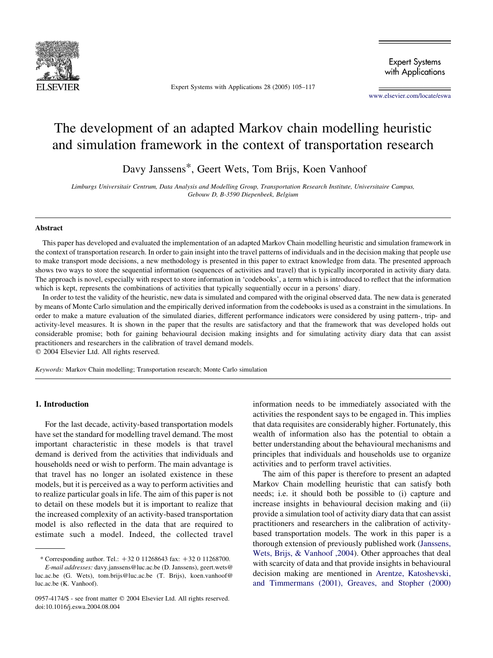

Expert Systems with Applications 28 (2005) 105–117

**Expert Systems** with Applications

[www.elsevier.com/locate/eswa](http://www.elsevier.com/locate/eswa)

## The development of an adapted Markov chain modelling heuristic and simulation framework in the context of transportation research

Davy Janssens\*, Geert Wets, Tom Brijs, Koen Vanhoof

Limburgs Universitair Centrum, Data Analysis and Modelling Group, Transportation Research Institute, Universitaire Campus, Gebouw D, B-3590 Diepenbeek, Belgium

#### Abstract

This paper has developed and evaluated the implementation of an adapted Markov Chain modelling heuristic and simulation framework in the context of transportation research. In order to gain insight into the travel patterns of individuals and in the decision making that people use to make transport mode decisions, a new methodology is presented in this paper to extract knowledge from data. The presented approach shows two ways to store the sequential information (sequences of activities and travel) that is typically incorporated in activity diary data. The approach is novel, especially with respect to store information in 'codebooks', a term which is introduced to reflect that the information which is kept, represents the combinations of activities that typically sequentially occur in a persons' diary.

In order to test the validity of the heuristic, new data is simulated and compared with the original observed data. The new data is generated by means of Monte Carlo simulation and the empirically derived information from the codebooks is used as a constraint in the simulations. In order to make a mature evaluation of the simulated diaries, different performance indicators were considered by using pattern-, trip- and activity-level measures. It is shown in the paper that the results are satisfactory and that the framework that was developed holds out considerable promise; both for gaining behavioural decision making insights and for simulating activity diary data that can assist practitioners and researchers in the calibration of travel demand models.

 $Q$  2004 Elsevier Ltd. All rights reserved.

Keywords: Markov Chain modelling; Transportation research; Monte Carlo simulation

#### 1. Introduction

For the last decade, activity-based transportation models have set the standard for modelling travel demand. The most important characteristic in these models is that travel demand is derived from the activities that individuals and households need or wish to perform. The main advantage is that travel has no longer an isolated existence in these models, but it is perceived as a way to perform activities and to realize particular goals in life. The aim of this paper is not to detail on these models but it is important to realize that the increased complexity of an activity-based transportation model is also reflected in the data that are required to estimate such a model. Indeed, the collected travel

luc.ac.be (G. Wets), tom.brijs@luc.ac.be (T. Brijs), koen.vanhoof@ luc.ac.be (K. Vanhoof).

information needs to be immediately associated with the activities the respondent says to be engaged in. This implies that data requisites are considerably higher. Fortunately, this wealth of information also has the potential to obtain a better understanding about the behavioural mechanisms and principles that individuals and households use to organize activities and to perform travel activities.

The aim of this paper is therefore to present an adapted Markov Chain modelling heuristic that can satisfy both needs; i.e. it should both be possible to (i) capture and increase insights in behavioural decision making and (ii) provide a simulation tool of activity diary data that can assist practitioners and researchers in the calibration of activitybased transportation models. The work in this paper is a thorough extension of previously published work ([Janssens,](#page--1-0) [Wets, Brijs, & Vanhoof ,2004](#page--1-0)). Other approaches that deal with scarcity of data and that provide insights in behavioural decision making are mentioned in [Arentze, Katoshevski,](#page--1-0) [and Timmermans \(2001\), Greaves, and Stopher \(2000\)](#page--1-0)

<sup>\*</sup> Corresponding author. Tel.:  $+32011268643$  fax:  $+32011268700$ . E-mail addresses: davy.janssens@luc.ac.be (D. Janssens), geert.wets@

<sup>0957-4174/\$ -</sup> see front matter © 2004 Elsevier Ltd. All rights reserved. doi:10.1016/j.eswa.2004.08.004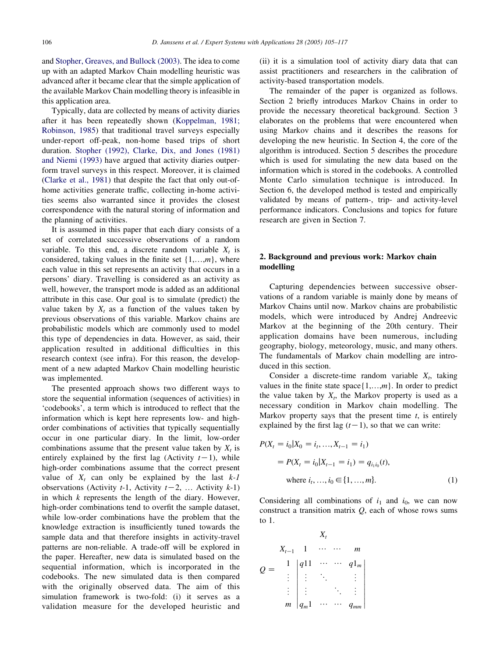and [Stopher, Greaves, and Bullock \(2003\)](#page--1-0). The idea to come up with an adapted Markov Chain modelling heuristic was advanced after it became clear that the simple application of the available Markov Chain modelling theory is infeasible in this application area.

Typically, data are collected by means of activity diaries after it has been repeatedly shown [\(Koppelman, 1981;](#page--1-0) [Robinson, 1985\)](#page--1-0) that traditional travel surveys especially under-report off-peak, non-home based trips of short duration. [Stopher \(1992\), Clarke, Dix, and Jones \(1981\)](#page--1-0) [and Niemi \(1993\)](#page--1-0) have argued that activity diaries outperform travel surveys in this respect. Moreover, it is claimed ([Clarke et al., 1981\)](#page--1-0) that despite the fact that only out-ofhome activities generate traffic, collecting in-home activities seems also warranted since it provides the closest correspondence with the natural storing of information and the planning of activities.

It is assumed in this paper that each diary consists of a set of correlated successive observations of a random variable. To this end, a discrete random variable  $X_t$  is considered, taking values in the finite set  $\{1,...,m\}$ , where each value in this set represents an activity that occurs in a persons' diary. Travelling is considered as an activity as well, however, the transport mode is added as an additional attribute in this case. Our goal is to simulate (predict) the value taken by  $X_t$  as a function of the values taken by previous observations of this variable. Markov chains are probabilistic models which are commonly used to model this type of dependencies in data. However, as said, their application resulted in additional difficulties in this research context (see infra). For this reason, the development of a new adapted Markov Chain modelling heuristic was implemented.

The presented approach shows two different ways to store the sequential information (sequences of activities) in 'codebooks', a term which is introduced to reflect that the information which is kept here represents low- and highorder combinations of activities that typically sequentially occur in one particular diary. In the limit, low-order combinations assume that the present value taken by  $X_t$  is entirely explained by the first lag (Activity  $t-1$ ), while high-order combinations assume that the correct present value of  $X_t$  can only be explained by the last  $k-1$ observations (Activity  $t-1$ , Activity  $t-2$ , ... Activity  $k-1$ ) in which  $k$  represents the length of the diary. However, high-order combinations tend to overfit the sample dataset, while low-order combinations have the problem that the knowledge extraction is insufficiently tuned towards the sample data and that therefore insights in activity-travel patterns are non-reliable. A trade-off will be explored in the paper. Hereafter, new data is simulated based on the sequential information, which is incorporated in the codebooks. The new simulated data is then compared with the originally observed data. The aim of this simulation framework is two-fold: (i) it serves as a validation measure for the developed heuristic and

(ii) it is a simulation tool of activity diary data that can assist practitioners and researchers in the calibration of activity-based transportation models.

The remainder of the paper is organized as follows. Section 2 briefly introduces Markov Chains in order to provide the necessary theoretical background. Section 3 elaborates on the problems that were encountered when using Markov chains and it describes the reasons for developing the new heuristic. In Section 4, the core of the algorithm is introduced. Section 5 describes the procedure which is used for simulating the new data based on the information which is stored in the codebooks. A controlled Monte Carlo simulation technique is introduced. In Section 6, the developed method is tested and empirically validated by means of pattern-, trip- and activity-level performance indicators. Conclusions and topics for future research are given in Section 7.

### 2. Background and previous work: Markov chain modelling

Capturing dependencies between successive observations of a random variable is mainly done by means of Markov Chains until now. Markov chains are probabilistic models, which were introduced by Andrej Andreevic Markov at the beginning of the 20th century. Their application domains have been numerous, including geography, biology, meteorology, music, and many others. The fundamentals of Markov chain modelling are introduced in this section.

Consider a discrete-time random variable  $X_t$ , taking values in the finite state space $\{1,...,m\}$ . In order to predict the value taken by  $X_t$ , the Markov property is used as a necessary condition in Markov chain modelling. The Markov property says that the present time  $t$ , is entirely explained by the first lag  $(t-1)$ , so that we can write:

$$
P(X_t = i_0 | X_0 = i_t, ..., X_{t-1} = i_1)
$$
  
=  $P(X_t = i_0 | X_{t-1} = i_1) = q_{i_1 i_0}(t),$   
where  $i_t, ..., i_0 \in \{1, ..., m\}.$  (1)

Considering all combinations of  $i_1$  and  $i_0$ , we can now construct a transition matrix  $O$ , each of whose rows sums to  $1$ .

Q Z XtK<sup>1</sup> <sup>1</sup> / / <sup>m</sup> 1 q11 / / q1<sup>m</sup> « « 1 « « « 1 « m qm1 / / qmm 

 $\overline{\mathbf{x}}$